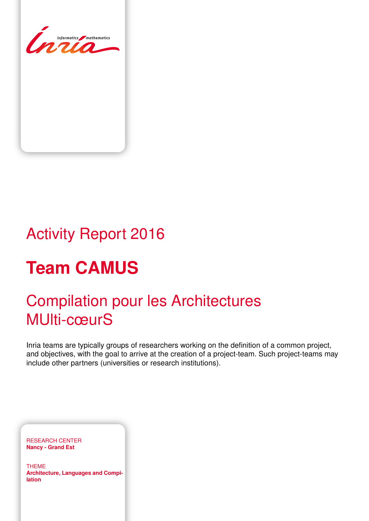

# Activity Report 2016

# **Team CAMUS**

# Compilation pour les Architectures MUlti-cœurS

Inria teams are typically groups of researchers working on the definition of a common project, and objectives, with the goal to arrive at the creation of a project-team. Such project-teams may include other partners (universities or research institutions).

RESEARCH CENTER **Nancy - Grand Est**

THEME **Architecture, Languages and Compilation**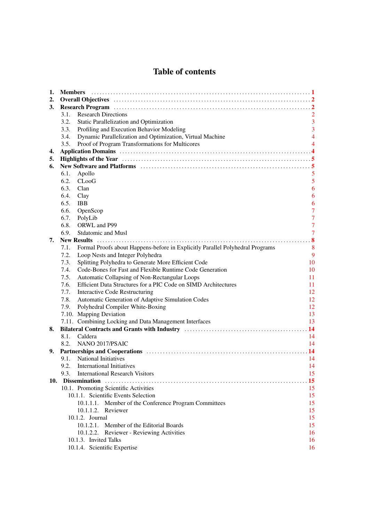## Table of contents

| 1.  | <b>Members</b>                                                                                                                                                                                                                 |                |
|-----|--------------------------------------------------------------------------------------------------------------------------------------------------------------------------------------------------------------------------------|----------------|
| 2.  |                                                                                                                                                                                                                                |                |
| 3.  |                                                                                                                                                                                                                                |                |
|     | <b>Research Directions</b><br>3.1.                                                                                                                                                                                             | $\overline{2}$ |
|     | 3.2.<br>Static Parallelization and Optimization                                                                                                                                                                                | $\overline{3}$ |
|     | 3.3.<br>Profiling and Execution Behavior Modeling                                                                                                                                                                              | 3              |
|     | 3.4.<br>Dynamic Parallelization and Optimization, Virtual Machine                                                                                                                                                              | $\overline{4}$ |
|     | 3.5.<br>Proof of Program Transformations for Multicores                                                                                                                                                                        |                |
| 4.  |                                                                                                                                                                                                                                |                |
| 5.  | Highlights of the Year manufacture of the Year manufacture of the Year manufacture of the Year manufacture of the Year manufacture of the Year manufacture of the Year manufacture of the Year manufacture of the Year manufac |                |
| 6.  | New Software and Platforms (and the context of the state of the state of the state of the state of the state of the state of the state of the state of the state of the state of the state of the state of the state of the st |                |
|     | 6.1.<br>Apollo                                                                                                                                                                                                                 | 5              |
|     | 6.2.<br>$C$ Loo $G$                                                                                                                                                                                                            | 5              |
|     | 6.3.<br>Clan                                                                                                                                                                                                                   | 6              |
|     | 6.4.<br>Clay                                                                                                                                                                                                                   | 6              |
|     | 6.5.<br><b>IBB</b>                                                                                                                                                                                                             | 6              |
|     | 6.6.<br>OpenScop                                                                                                                                                                                                               | $\overline{7}$ |
|     | 6.7.<br>PolyLib                                                                                                                                                                                                                | $\overline{7}$ |
|     | 6.8.<br>ORWL and P99                                                                                                                                                                                                           | $\overline{7}$ |
|     | 6.9.<br><b>Stdatomic and Musl</b>                                                                                                                                                                                              | $\overline{7}$ |
| 7.  |                                                                                                                                                                                                                                |                |
|     | Formal Proofs about Happens-before in Explicitly Parallel Polyhedral Programs<br>7.1.                                                                                                                                          | 8              |
|     | 7.2.<br>Loop Nests and Integer Polyhedra                                                                                                                                                                                       | 9              |
|     | Splitting Polyhedra to Generate More Efficient Code<br>7.3.                                                                                                                                                                    | 10             |
|     | Code-Bones for Fast and Flexible Runtime Code Generation<br>7.4.                                                                                                                                                               | 10             |
|     | 7.5.<br>Automatic Collapsing of Non-Rectangular Loops                                                                                                                                                                          | 11             |
|     | Efficient Data Structures for a PIC Code on SIMD Architectures<br>7.6.                                                                                                                                                         | 11             |
|     | 7.7.<br><b>Interactive Code Restructuring</b>                                                                                                                                                                                  | 12             |
|     | Automatic Generation of Adaptive Simulation Codes<br>7.8.                                                                                                                                                                      | 12             |
|     | Polyhedral Compiler White-Boxing<br>7.9.                                                                                                                                                                                       | 12             |
|     | 7.10. Mapping Deviation                                                                                                                                                                                                        | 13             |
|     | 7.11. Combining Locking and Data Management Interfaces                                                                                                                                                                         | 13             |
| 8.  |                                                                                                                                                                                                                                |                |
|     | Caldera<br>8.1.                                                                                                                                                                                                                | 14             |
|     | NANO 2017/PSAIC<br>8.2.                                                                                                                                                                                                        | 14             |
| 9.  |                                                                                                                                                                                                                                | -14            |
|     | 9.1. National Initiatives                                                                                                                                                                                                      | 14             |
|     | 9.2. International Initiatives                                                                                                                                                                                                 | 14             |
|     | <b>International Research Visitors</b><br>9.3.                                                                                                                                                                                 | 15             |
| 10. |                                                                                                                                                                                                                                | 15             |
|     | 10.1. Promoting Scientific Activities                                                                                                                                                                                          | 15             |
|     | 10.1.1. Scientific Events Selection                                                                                                                                                                                            | 15             |
|     | 10.1.1.1. Member of the Conference Program Committees                                                                                                                                                                          | 15             |
|     | 10.1.1.2. Reviewer                                                                                                                                                                                                             | 15             |
|     | 10.1.2. Journal                                                                                                                                                                                                                | 15             |
|     | 10.1.2.1. Member of the Editorial Boards                                                                                                                                                                                       | 15             |
|     | 10.1.2.2. Reviewer - Reviewing Activities                                                                                                                                                                                      | 16             |
|     | 10.1.3. Invited Talks                                                                                                                                                                                                          | 16             |
|     | 10.1.4. Scientific Expertise                                                                                                                                                                                                   | 16             |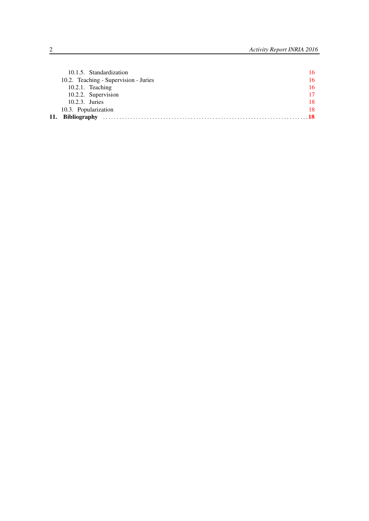|     | 10.1.5. Standardization               | 16 |
|-----|---------------------------------------|----|
|     | 10.2. Teaching - Supervision - Juries | 16 |
|     | $10.2.1$ . Teaching                   | 16 |
|     | 10.2.2. Supervision                   | 17 |
|     | 10.2.3. Juries                        | 18 |
|     | 10.3. Popularization                  | 18 |
| 11. | <b>Bibliography</b>                   |    |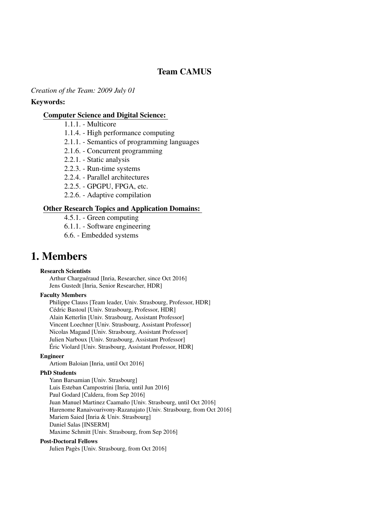## Team CAMUS

#### *Creation of the Team: 2009 July 01*

#### Keywords:

#### [Computer Science and Digital Science:](https://raweb.inria.fr/rapportsactivite/RA2016/static/keywords/ComputerScienceandDigitalScience.html)

- 1.1.1. Multicore
- 1.1.4. High performance computing
- 2.1.1. Semantics of programming languages
- 2.1.6. Concurrent programming
- 2.2.1. Static analysis
- 2.2.3. Run-time systems
- 2.2.4. Parallel architectures
- 2.2.5. GPGPU, FPGA, etc.
- 2.2.6. Adaptive compilation

#### [Other Research Topics and Application Domains:](https://raweb.inria.fr/rapportsactivite/RA2016/static/keywords/OtherResearchTopicsandApplicationDomains.html)

- 4.5.1. Green computing
- 6.1.1. Software engineering
- 6.6. Embedded systems

# <span id="page-4-0"></span>1. Members

#### Research Scientists

Arthur Charguéraud [Inria, Researcher, since Oct 2016] Jens Gustedt [Inria, Senior Researcher, HDR]

#### Faculty Members

Philippe Clauss [Team leader, Univ. Strasbourg, Professor, HDR] Cédric Bastoul [Univ. Strasbourg, Professor, HDR] Alain Ketterlin [Univ. Strasbourg, Assistant Professor] Vincent Loechner [Univ. Strasbourg, Assistant Professor] Nicolas Magaud [Univ. Strasbourg, Assistant Professor] Julien Narboux [Univ. Strasbourg, Assistant Professor] Éric Violard [Univ. Strasbourg, Assistant Professor, HDR]

#### Engineer

Artiom Baloian [Inria, until Oct 2016]

#### PhD Students

Yann Barsamian [Univ. Strasbourg] Luis Esteban Campostrini [Inria, until Jun 2016] Paul Godard [Caldera, from Sep 2016] Juan Manuel Martinez Caamaño [Univ. Strasbourg, until Oct 2016] Harenome Ranaivoarivony-Razanajato [Univ. Strasbourg, from Oct 2016] Mariem Saied [Inria & Univ. Strasbourg] Daniel Salas [INSERM] Maxime Schmitt [Univ. Strasbourg, from Sep 2016]

#### Post-Doctoral Fellows

Julien Pagès [Univ. Strasbourg, from Oct 2016]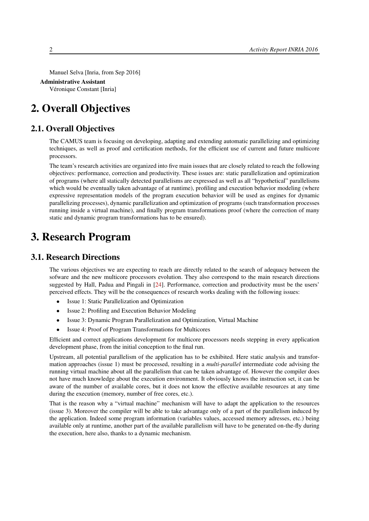Manuel Selva [Inria, from Sep 2016]

#### Administrative Assistant

<span id="page-5-0"></span>Véronique Constant [Inria]

# 2. Overall Objectives

## 2.1. Overall Objectives

The CAMUS team is focusing on developing, adapting and extending automatic parallelizing and optimizing techniques, as well as proof and certification methods, for the efficient use of current and future multicore processors.

The team's research activities are organized into five main issues that are closely related to reach the following objectives: performance, correction and productivity. These issues are: static parallelization and optimization of programs (where all statically detected parallelisms are expressed as well as all "hypothetical" parallelisms which would be eventually taken advantage of at runtime), profiling and execution behavior modeling (where expressive representation models of the program execution behavior will be used as engines for dynamic parallelizing processes), dynamic parallelization and optimization of programs (such transformation processes running inside a virtual machine), and finally program transformations proof (where the correction of many static and dynamic program transformations has to be ensured).

# <span id="page-5-1"></span>3. Research Program

## 3.1. Research Directions

<span id="page-5-2"></span>The various objectives we are expecting to reach are directly related to the search of adequacy between the sofware and the new multicore processors evolution. They also correspond to the main research directions suggested by Hall, Padua and Pingali in [\[24\]](#page-24-0). Performance, correction and productivity must be the users' perceived effects. They will be the consequences of research works dealing with the following issues:

- Issue 1: Static Parallelization and Optimization
- Issue 2: Profiling and Execution Behavior Modeling
- Issue 3: Dynamic Program Parallelization and Optimization, Virtual Machine
- Issue 4: Proof of Program Transformations for Multicores

Efficient and correct applications development for multicore processors needs stepping in every application development phase, from the initial conception to the final run.

Upstream, all potential parallelism of the application has to be exhibited. Here static analysis and transformation approaches (issue 1) must be processed, resulting in a *multi-parallel* intermediate code advising the running virtual machine about all the parallelism that can be taken advantage of. However the compiler does not have much knowledge about the execution environment. It obviously knows the instruction set, it can be aware of the number of available cores, but it does not know the effective available resources at any time during the execution (memory, number of free cores, etc.).

That is the reason why a "virtual machine" mechanism will have to adapt the application to the resources (issue 3). Moreover the compiler will be able to take advantage only of a part of the parallelism induced by the application. Indeed some program information (variables values, accessed memory adresses, etc.) being available only at runtime, another part of the available parallelism will have to be generated on-the-fly during the execution, here also, thanks to a dynamic mechanism.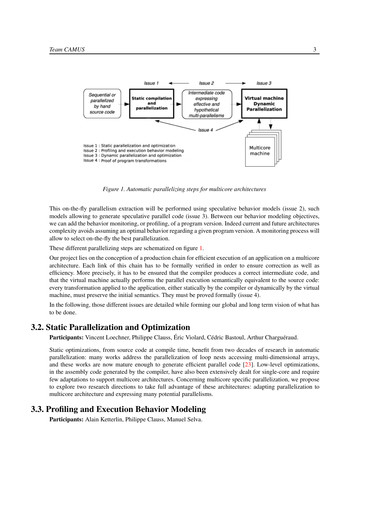<span id="page-6-2"></span>

*Figure 1. Automatic parallelizing steps for multicore architectures*

This on-the-fly parallelism extraction will be performed using speculative behavior models (issue 2), such models allowing to generate speculative parallel code (issue 3). Between our behavior modeling objectives, we can add the behavior monitoring, or profiling, of a program version. Indeed current and future architectures complexity avoids assuming an optimal behavior regarding a given program version. A monitoring process will allow to select on-the-fly the best parallelization.

These different parallelizing steps are schematized on figure [1.](#page-6-2)

Our project lies on the conception of a production chain for efficient execution of an application on a multicore architecture. Each link of this chain has to be formally verified in order to ensure correction as well as efficiency. More precisely, it has to be ensured that the compiler produces a correct intermediate code, and that the virtual machine actually performs the parallel execution semantically equivalent to the source code: every transformation applied to the application, either statically by the compiler or dynamically by the virtual machine, must preserve the initial semantics. They must be proved formally (issue 4).

In the following, those different issues are detailed while forming our global and long term vision of what has to be done.

#### 3.2. Static Parallelization and Optimization

<span id="page-6-0"></span>Participants: Vincent Loechner, Philippe Clauss, Éric Violard, Cédric Bastoul, Arthur Charguéraud.

Static optimizations, from source code at compile time, benefit from two decades of research in automatic parallelization: many works address the parallelization of loop nests accessing multi-dimensional arrays, and these works are now mature enough to generate efficient parallel code [\[23\]](#page-23-0). Low-level optimizations, in the assembly code generated by the compiler, have also been extensively dealt for single-core and require few adaptations to support multicore architectures. Concerning multicore specific parallelization, we propose to explore two research directions to take full advantage of these architectures: adapting parallelization to multicore architecture and expressing many potential parallelisms.

## 3.3. Profiling and Execution Behavior Modeling

<span id="page-6-1"></span>Participants: Alain Ketterlin, Philippe Clauss, Manuel Selva.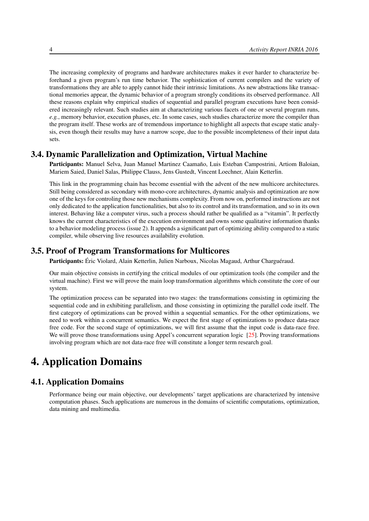The increasing complexity of programs and hardware architectures makes it ever harder to characterize beforehand a given program's run time behavior. The sophistication of current compilers and the variety of transformations they are able to apply cannot hide their intrinsic limitations. As new abstractions like transactional memories appear, the dynamic behavior of a program strongly conditions its observed performance. All these reasons explain why empirical studies of sequential and parallel program executions have been considered increasingly relevant. Such studies aim at characterizing various facets of one or several program runs, *e.g.*, memory behavior, execution phases, etc. In some cases, such studies characterize more the compiler than the program itself. These works are of tremendous importance to highlight all aspects that escape static analysis, even though their results may have a narrow scope, due to the possible incompleteness of their input data sets.

## 3.4. Dynamic Parallelization and Optimization, Virtual Machine

<span id="page-7-0"></span>Participants: Manuel Selva, Juan Manuel Martinez Caamaño, Luis Esteban Campostrini, Artiom Baloian, Mariem Saied, Daniel Salas, Philippe Clauss, Jens Gustedt, Vincent Loechner, Alain Ketterlin.

This link in the programming chain has become essential with the advent of the new multicore architectures. Still being considered as secondary with mono-core architectures, dynamic analysis and optimization are now one of the keys for controling those new mechanisms complexity. From now on, performed instructions are not only dedicated to the application functionalities, but also to its control and its transformation, and so in its own interest. Behaving like a computer virus, such a process should rather be qualified as a "vitamin". It perfectly knows the current characteristics of the execution environment and owns some qualitative information thanks to a behavior modeling process (issue 2). It appends a significant part of optimizing ability compared to a static compiler, while observing live resources availability evolution.

## 3.5. Proof of Program Transformations for Multicores

<span id="page-7-1"></span>Participants: Éric Violard, Alain Ketterlin, Julien Narboux, Nicolas Magaud, Arthur Charguéraud.

Our main objective consists in certifying the critical modules of our optimization tools (the compiler and the virtual machine). First we will prove the main loop transformation algorithms which constitute the core of our system.

The optimization process can be separated into two stages: the transformations consisting in optimizing the sequential code and in exhibiting parallelism, and those consisting in optimizing the parallel code itself. The first category of optimizations can be proved within a sequential semantics. For the other optimizations, we need to work within a concurrent semantics. We expect the first stage of optimizations to produce data-race free code. For the second stage of optimizations, we will first assume that the input code is data-race free. We will prove those transformations using Appel's concurrent separation logic [\[25\]](#page-24-1). Proving transformations involving program which are not data-race free will constitute a longer term research goal.

# <span id="page-7-2"></span>4. Application Domains

## 4.1. Application Domains

Performance being our main objective, our developments' target applications are characterized by intensive computation phases. Such applications are numerous in the domains of scientific computations, optimization, data mining and multimedia.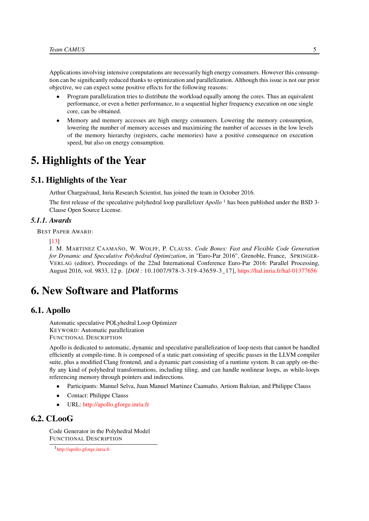Applications involving intensive computations are necessarily high energy consumers. However this consumption can be significantly reduced thanks to optimization and parallelization. Although this issue is not our prior objective, we can expect some positive effects for the following reasons:

- Program parallelization tries to distribute the workload equally among the cores. Thus an equivalent performance, or even a better performance, to a sequential higher frequency execution on one single core, can be obtained.
- Memory and memory accesses are high energy consumers. Lowering the memory consumption, lowering the number of memory accesses and maximizing the number of accesses in the low levels of the memory hierarchy (registers, cache memories) have a positive consequence on execution speed, but also on energy consumption.

# <span id="page-8-0"></span>5. Highlights of the Year

## 5.1. Highlights of the Year

Arthur Charguéraud, Inria Research Scientist, has joined the team in October 2016.

The first release of the speculative polyhedral loop parallelizer *Apollo* <sup>1</sup> has been published under the BSD 3-Clause Open Source License.

#### *5.1.1. Awards*

BEST PAPER AWARD:

[\[13\]](#page-23-1)

J. M. MARTINEZ CAAMAÑO, W. WOLFF, P. CLAUSS. *Code Bones: Fast and Flexible Code Generation for Dynamic and Speculative Polyhedral Optimization*, in "Euro-Par 2016", Grenoble, France, SPRINGER-VERLAG (editor), Proceedings of the 22nd International Conference Euro-Par 2016: Parallel Processing, August 2016, vol. 9833, 12 p. [*DOI :* 10.1007/978-3-319-43659-3\_17], <https://hal.inria.fr/hal-01377656>

# <span id="page-8-1"></span>6. New Software and Platforms

### 6.1. Apollo

<span id="page-8-2"></span>Automatic speculative POLyhedral Loop Optimizer KEYWORD: Automatic parallelization FUNCTIONAL DESCRIPTION

Apollo is dedicated to automatic, dynamic and speculative parallelization of loop nests that cannot be handled efficiently at compile-time. It is composed of a static part consisting of specific passes in the LLVM compiler suite, plus a modified Clang frontend, and a dynamic part consisting of a runtime system. It can apply on-thefly any kind of polyhedral transformations, including tiling, and can handle nonlinear loops, as while-loops referencing memory through pointers and indirections.

- Participants: Manuel Selva, Juan Manuel Martinez Caamaño, Artiom Baloian, and Philippe Clauss
- Contact: Philippe Clauss
- <span id="page-8-3"></span>• URL: <http://apollo.gforge.inria.fr>

## 6.2. CLooG

Code Generator in the Polyhedral Model FUNCTIONAL DESCRIPTION

<sup>1</sup> <http://apollo.gforge.inria.fr>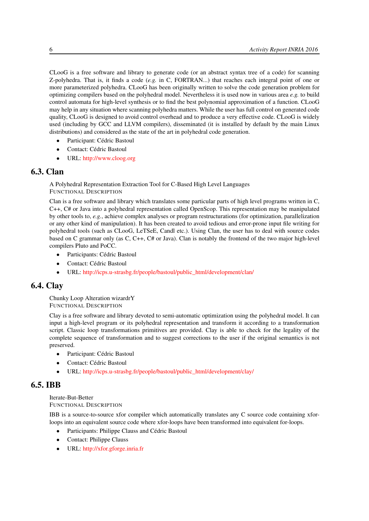CLooG is a free software and library to generate code (or an abstract syntax tree of a code) for scanning Z-polyhedra. That is, it finds a code (*e.g.* in C, FORTRAN...) that reaches each integral point of one or more parameterized polyhedra. CLooG has been originally written to solve the code generation problem for optimizing compilers based on the polyhedral model. Nevertheless it is used now in various area *e.g.* to build control automata for high-level synthesis or to find the best polynomial approximation of a function. CLooG may help in any situation where scanning polyhedra matters. While the user has full control on generated code quality, CLooG is designed to avoid control overhead and to produce a very effective code. CLooG is widely used (including by GCC and LLVM compilers), disseminated (it is installed by default by the main Linux distributions) and considered as the state of the art in polyhedral code generation.

- Participant: Cédric Bastoul
- Contact: Cédric Bastoul
- <span id="page-9-0"></span>• URL: <http://www.cloog.org>

## 6.3. Clan

A Polyhedral Representation Extraction Tool for C-Based High Level Languages FUNCTIONAL DESCRIPTION

Clan is a free software and library which translates some particular parts of high level programs written in C, C++, C# or Java into a polyhedral representation called OpenScop. This representation may be manipulated by other tools to, *e.g.*, achieve complex analyses or program restructurations (for optimization, parallelization or any other kind of manipulation). It has been created to avoid tedious and error-prone input file writing for polyhedral tools (such as CLooG, LeTSeE, Candl etc.). Using Clan, the user has to deal with source codes based on C grammar only (as C, C++, C# or Java). Clan is notably the frontend of the two major high-level compilers Pluto and PoCC.

- Participants: Cédric Bastoul
- Contact: Cédric Bastoul
- <span id="page-9-1"></span>• URL: [http://icps.u-strasbg.fr/people/bastoul/public\\_html/development/clan/](http://icps.u-strasbg.fr/people/bastoul/public_html/development/clan/)

## 6.4. Clay

Chunky Loop Alteration wizardrY FUNCTIONAL DESCRIPTION

Clay is a free software and library devoted to semi-automatic optimization using the polyhedral model. It can input a high-level program or its polyhedral representation and transform it according to a transformation script. Classic loop transformations primitives are provided. Clay is able to check for the legality of the complete sequence of transformation and to suggest corrections to the user if the original semantics is not preserved.

- Participant: Cédric Bastoul
- Contact: Cédric Bastoul
- <span id="page-9-2"></span>• URL: [http://icps.u-strasbg.fr/people/bastoul/public\\_html/development/clay/](http://icps.u-strasbg.fr/people/bastoul/public_html/development/clay/)

## 6.5. IBB

Iterate-But-Better FUNCTIONAL DESCRIPTION

IBB is a source-to-source xfor compiler which automatically translates any C source code containing xforloops into an equivalent source code where xfor-loops have been transformed into equivalent for-loops.

- Participants: Philippe Clauss and Cédric Bastoul
- Contact: Philippe Clauss
- URL: <http://xfor.gforge.inria.fr>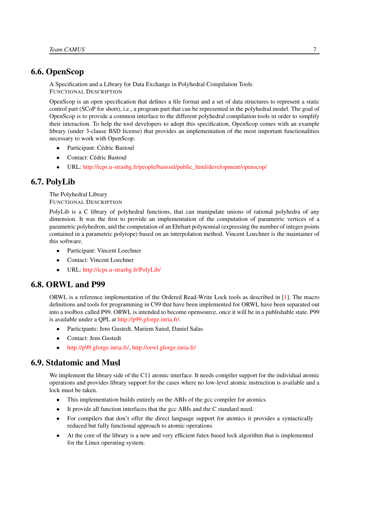## 6.6. OpenScop

<span id="page-10-0"></span>A Specification and a Library for Data Exchange in Polyhedral Compilation Tools FUNCTIONAL DESCRIPTION

OpenScop is an open specification that defines a file format and a set of data structures to represent a static control part (SCoP for short), i.e., a program part that can be represented in the polyhedral model. The goal of OpenScop is to provide a common interface to the different polyhedral compilation tools in order to simplify their interaction. To help the tool developers to adopt this specification, OpenScop comes with an example library (under 3-clause BSD license) that provides an implementation of the most important functionalities necessary to work with OpenScop.

- Participant: Cédric Bastoul
- Contact: Cédric Bastoul
- <span id="page-10-1"></span>• URL: [http://icps.u-strasbg.fr/people/bastoul/public\\_html/development/openscop/](http://icps.u-strasbg.fr/people/bastoul/public_html/development/openscop/)

## 6.7. PolyLib

The Polyhedral Library FUNCTIONAL DESCRIPTION

PolyLib is a C library of polyhedral functions, that can manipulate unions of rational polyhedra of any dimension. It was the first to provide an implementation of the computation of parametric vertices of a parametric polyhedron, and the computation of an Ehrhart polynomial (expressing the number of integer points contained in a parametric polytope) based on an interpolation method. Vincent Loechner is the maintainer of this software.

- Participant: Vincent Loechner
- Contact: Vincent Loechner
- <span id="page-10-2"></span>• URL: <http://icps.u-strasbg.fr/PolyLib/>

## 6.8. ORWL and P99

ORWL is a reference implementation of the Ordered Read-Write Lock tools as described in [\[1\]](#page-21-3). The macro definitions and tools for programming in C99 that have been implemented for ORWL have been separated out into a toolbox called P99. ORWL is intended to become opensource, once it will be in a publishable state. P99 is available under a QPL at [http://p99.gforge.inria.fr/.](http://p99.gforge.inria.fr/)

- Participants: Jens Gustedt, Mariem Saied, Daniel Salas
- Contact: Jens Gustedt
- <span id="page-10-3"></span>• [http://p99.gforge.inria.fr/,](http://p99.gforge.inria.fr/) <http://orwl.gforge.inria.fr/>

## 6.9. Stdatomic and Musl

We implement the library side of the C11 atomic interface. It needs compiler support for the individual atomic operations and provides library support for the cases where no low-level atomic instruction is available and a lock must be taken.

- This implementation builds entirely on the ABIs of the gcc compiler for atomics.
- It provide all function interfaces that the gcc ABIs and the C standard need.
- For compilers that don't offer the direct language support for atomics it provides a syntactically reduced but fully functional approach to atomic operations.
- At the core of the library is a new and very efficient futex-based lock algorithm that is implemented for the Linux operating system.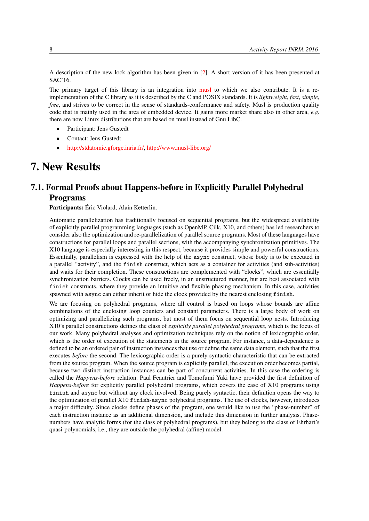A description of the new lock algorithm has been given in [\[2\]](#page-21-4). A short version of it has been presented at SAC'16.

The primary target of this library is an integration into [musl](http://www.musl-libc.org/) to which we also contribute. It is a reimplementation of the C library as it is described by the C and POSIX standards. It is *lightweight*, *fast*, *simple*, *free*, and strives to be correct in the sense of standards-conformance and safety. Musl is production quality code that is mainly used in the area of embedded device. It gains more market share also in other area, *e.g.* there are now Linux distributions that are based on musl instead of Gnu LibC.

- Participant: Jens Gustedt
- Contact: Jens Gustedt
- <span id="page-11-0"></span>• [http://stdatomic.gforge.inria.fr/,](http://stdatomic.gforge.inria.fr/) <http://www.musl-libc.org/>

# 7. New Results

## <span id="page-11-1"></span>7.1. Formal Proofs about Happens-before in Explicitly Parallel Polyhedral Programs

Participants: Éric Violard, Alain Ketterlin.

Automatic parallelization has traditionally focused on sequential programs, but the widespread availability of explicitly parallel programming languages (such as OpenMP, Cilk, X10, and others) has led researchers to consider also the optimization and re-parallelization of parallel source programs. Most of these languages have constructions for parallel loops and parallel sections, with the accompanying synchronization primitives. The X10 language is especially interesting in this respect, because it provides simple and powerful constructions. Essentially, parallelism is expressed with the help of the async construct, whose body is to be executed in a parallel "activity", and the finish construct, which acts as a container for activities (and sub-activities) and waits for their completion. These constructions are complemented with "clocks", which are essentially synchronization barriers. Clocks can be used freely, in an unstructured manner, but are best associated with finish constructs, where they provide an intuitive and flexible phasing mechanism. In this case, activities spawned with async can either inherit or hide the clock provided by the nearest enclosing finish.

We are focusing on polyhedral programs, where all control is based on loops whose bounds are affine combinations of the enclosing loop counters and constant parameters. There is a large body of work on optimizing and parallelizing such programs, but most of them focus on sequential loop nests. Introducing X10's parallel constructions defines the class of *explicitly parallel polyhedral programs*, which is the focus of our work. Many polyhedral analyses and optimization techniques rely on the notion of lexicographic order, which is the order of execution of the statements in the source program. For instance, a data-dependence is defined to be an ordered pair of instruction instances that use or define the same data element, such that the first executes *before* the second. The lexicographic order is a purely syntactic characteristic that can be extracted from the source program. When the source program is explicitly parallel, the execution order becomes partial, because two distinct instruction instances can be part of concurrent activities. In this case the ordering is called the *Happens-before* relation. Paul Feautrier and Tomofumi Yuki have provided the first definition of *Happens-before* for explicitly parallel polyhedral programs, which covers the case of X10 programs using finish and async but without any clock involved. Being purely syntactic, their definition opens the way to the optimization of parallel X10 finish-async polyhedral programs. The use of clocks, however, introduces a major difficulty. Since clocks define phases of the program, one would like to use the "phase-number" of each instruction instance as an additional dimension, and include this dimension in further analysis. Phasenumbers have analytic forms (for the class of polyhedral programs), but they belong to the class of Ehrhart's quasi-polynomials, i.e., they are outside the polyhedral (affine) model.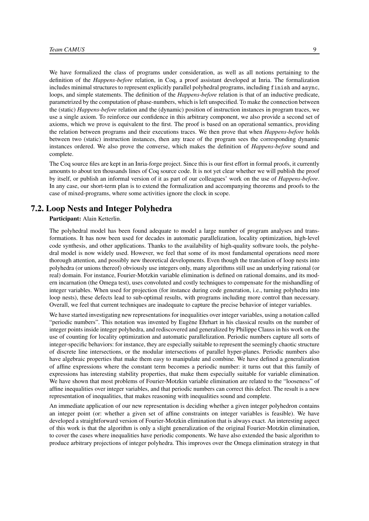We have formalized the class of programs under consideration, as well as all notions pertaining to the definition of the *Happens-before* relation, in Coq, a proof assistant developed at Inria. The formalization includes minimal structures to represent explicitly parallel polyhedral programs, including finish and async, loops, and simple statements. The definition of the *Happens-before* relation is that of an inductive predicate, parametrized by the computation of phase-numbers, which is left unspecified. To make the connection between the (static) *Happens-before* relation and the (dynamic) position of instruction instances in program traces, we use a single axiom. To reinforce our confidence in this arbitrary component, we also provide a second set of axioms, which we prove is equivalent to the first. The proof is based on an operational semantics, providing the relation between programs and their executions traces. We then prove that when *Happens-before* holds between two (static) instruction instances, then any trace of the program sees the corresponding dynamic instances ordered. We also prove the converse, which makes the definition of *Happens-before* sound and complete.

The Coq source files are kept in an Inria-forge project. Since this is our first effort in formal proofs, it currently amounts to about ten thousands lines of Coq source code. It is not yet clear whether we will publish the proof by itself, or publish an informal version of it as part of our colleagues' work on the use of *Happens-before*. In any case, our short-term plan is to extend the formalization and accompanying theorems and proofs to the case of mixed-programs, where some activities ignore the clock in scope.

## 7.2. Loop Nests and Integer Polyhedra

<span id="page-12-0"></span>Participant: Alain Ketterlin.

The polyhedral model has been found adequate to model a large number of program analyses and transformations. It has now been used for decades in automatic parallelization, locality optimization, high-level code synthesis, and other applications. Thanks to the availability of high-quality software tools, the polyhedral model is now widely used. However, we feel that some of its most fundamental operations need more thorough attention, and possibly new theoretical developments. Even though the translation of loop nests into polyhedra (or unions thereof) obviously use integers only, many algorithms still use an underlying rational (or real) domain. For instance, Fourier-Motzkin variable elimination is defined on rational domains, and its modern incarnation (the Omega test), uses convoluted and costly techniques to compensate for the mishandling of integer variables. When used for projection (for instance during code generation, i.e., turning polyhedra into loop nests), these defects lead to sub-optimal results, with programs including more control than necessary. Overall, we feel that current techniques are inadequate to capture the precise behavior of integer variables.

We have started investigating new representations for inequalities over integer variables, using a notation called "periodic numbers". This notation was invented by Eugène Ehrhart in his classical results on the number of integer points inside integer polyhedra, and rediscovered and generalized by Philippe Clauss in his work on the use of counting for locality optimization and automatic parallelization. Periodic numbers capture all sorts of integer-specific behaviors: for instance, they are especially suitable to represent the seemingly chaotic structure of discrete line intersections, or the modular intersections of parallel hyper-planes. Periodic numbers also have algebraic properties that make them easy to manipulate and combine. We have defined a generalization of affine expressions where the constant term becomes a periodic number: it turns out that this family of expressions has interesting stability properties, that make them especially suitable for variable elimination. We have shown that most problems of Fourier-Motzkin variable elimination are related to the "looseness" of affine inequalities over integer variables, and that periodic numbers can correct this defect. The result is a new representation of inequalities, that makes reasoning with inequalities sound and complete.

An immediate application of our new representation is deciding whether a given integer polyhedron contains an integer point (or: whether a given set of affine constraints on integer variables is feasible). We have developed a straightforward version of Fourier-Motzkin elimination that is always exact. An interesting aspect of this work is that the algorithm is only a slight generalization of the original Fourier-Motzkin elimination, to cover the cases where inequalities have periodic components. We have also extended the basic algorithm to produce arbitrary projections of integer polyhedra. This improves over the Omega elimination strategy in that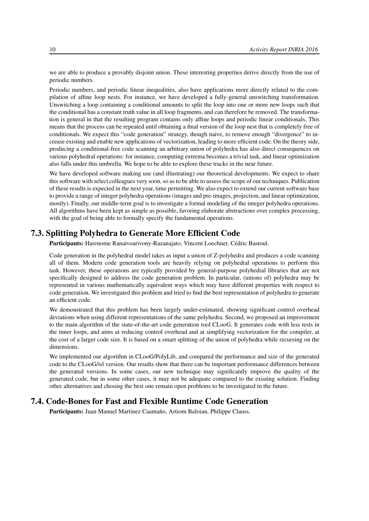we are able to produce a provably disjoint union. These interesting properties derive directly from the use of periodic numbers.

Periodic numbers, and periodic linear inequalities, also have applications more directly related to the compilation of affine loop nests. For instance, we have developed a fully-general unswitching transformation. Unswitching a loop containing a conditional amounts to split the loop into one or more new loops such that the conditional has a constant truth value in all loop fragments, and can therefore be removed. The transformation is general in that the resulting program contains only affine loops and periodic linear conditionals. This means that the process can be repeated until obtaining a final version of the loop nest that is completely free of conditionals. We expect this "code generation" strategy, though naive, to remove enough "divergence" to increase existing and enable new applications of vectorization, leading to more efficient code. On the theory side, producing a conditional-free code scanning an arbitrary union of polyhedra has also direct consequences on various polyhedral operations: for instance, computing extrema becomes a trivial task, and linear optimization also falls under this umbrella. We hope to be able to explore these tracks in the near future.

We have developed software making use (and illustrating) our theoretical developments. We expect to share this software with select colleagues very soon, so as to be able to assess the scope of our techniques. Publication of these results is expected in the next year, time permitting. We also expect to extend our current software base to provide a range of integer polyhedra operations (images and pre-images, projection, and linear optimization, mostly). Finally, our middle-term goal is to investigate a formal modeling of the integer polyhedra operations. All algorithms have been kept as simple as possible, favoring elaborate abstractions over complex processing, with the goal of being able to formally specify the fundamental operations.

## 7.3. Splitting Polyhedra to Generate More Efficient Code

<span id="page-13-0"></span>Participants: Harenome Ranaivoarivony-Razanajato, Vincent Loechner, Cédric Bastoul.

Code generation in the polyhedral model takes as input a union of Z-polyhedra and produces a code scanning all of them. Modern code generation tools are heavily relying on polyhedral operations to perform this task. However, these operations are typically provided by general-purpose polyhedral libraries that are not specifically designed to address the code generation problem. In particular, (unions of) polyhedra may be represented in various mathematically equivalent ways which may have different properties with respect to code generation. We investigated this problem and tried to find the best representation of polyhedra to generate an efficient code.

We demonstrated that this problem has been largely under-estimated, showing significant control overhead deviations when using different representations of the same polyhedra. Second, we proposed an improvement to the main algorithm of the state-of-the-art code generation tool CLooG. It generates code with less tests in the inner loops, and aims at reducing control overhead and at simplifying vectorization for the compiler, at the cost of a larger code size. It is based on a smart splitting of the union of polyhedra while recursing on the dimensions.

We implemented our algorithm in CLooG/PolyLib, and compared the performance and size of the generated code to the CLooG/isl version. Our results show that there can be important performance differences between the generated versions. In some cases, our new technique may significantly improve the quality of the generated code, but in some other cases, it may not be adequate compared to the existing solution. Finding other alternatives and chosing the best one remain open problems to be investigated in the future.

## 7.4. Code-Bones for Fast and Flexible Runtime Code Generation

<span id="page-13-1"></span>Participants: Juan Manuel Martinez Caamaño, Artiom Baloian, Philippe Clauss.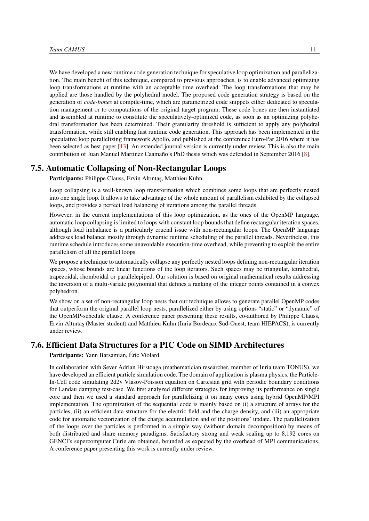We have developed a new runtime code generation technique for speculative loop optimization and parallelization. The main benefit of this technique, compared to previous approaches, is to enable advanced optimizing loop transformations at runtime with an acceptable time overhead. The loop transformations that may be applied are those handled by the polyhedral model. The proposed code generation strategy is based on the generation of *code-bones* at compile-time, which are parametrized code snippets either dedicated to speculation management or to computations of the original target program. These code bones are then instantiated and assembled at runtime to constitute the speculatively-optimized code, as soon as an optimizing polyhedral transformation has been determined. Their granularity threshold is sufficient to apply any polyhedral transformation, while still enabling fast runtime code generation. This approach has been implemented in the speculative loop parallelizing framework Apollo, and published at the conference Euro-Par 2016 where it has been selected as best paper [\[13\]](#page-23-1). An extended journal version is currently under review. This is also the main contribution of Juan Manuel Martinez Caamaño's PhD thesis which was defended in September 2016 [\[8\]](#page-22-0).

## 7.5. Automatic Collapsing of Non-Rectangular Loops

<span id="page-14-0"></span>Participants: Philippe Clauss, Ervin Altıntaş, Matthieu Kuhn.

Loop collapsing is a well-known loop transformation which combines some loops that are perfectly nested into one single loop. It allows to take advantage of the whole amount of parallelism exhibited by the collapsed loops, and provides a perfect load balancing of iterations among the parallel threads.

However, in the current implementations of this loop optimization, as the ones of the OpenMP language, automatic loop collapsing is limited to loops with constant loop bounds that define rectangular iteration spaces, although load imbalance is a particularly crucial issue with non-rectangular loops. The OpenMP language addresses load balance mostly through dynamic runtime scheduling of the parallel threads. Nevertheless, this runtime schedule introduces some unavoidable execution-time overhead, while preventing to exploit the entire parallelism of all the parallel loops.

We propose a technique to automatically collapse any perfectly nested loops defining non-rectangular iteration spaces, whose bounds are linear functions of the loop iterators. Such spaces may be triangular, tetrahedral, trapezoidal, rhomboidal or parallelepiped. Our solution is based on original mathematical results addressing the inversion of a multi-variate polynomial that defines a ranking of the integer points contained in a convex polyhedron.

We show on a set of non-rectangular loop nests that our technique allows to generate parallel OpenMP codes that outperform the original parallel loop nests, parallelized either by using options "static" or "dynamic" of the OpenMP-schedule clause. A conference paper presenting these results, co-authored by Philippe Clauss, Ervin Altıntaş (Master student) and Matthieu Kuhn (Inria Bordeaux Sud-Ouest, team HIEPACS), is currently under review.

## 7.6. Efficient Data Structures for a PIC Code on SIMD Architectures

<span id="page-14-1"></span>Participants: Yann Barsamian, Éric Violard.

In collaboration with Sever Adrian Hirstoaga (mathematician researcher, member of Inria team TONUS), we have developed an efficient particle simulation code. The domain of application is plasma physics, the Particle-In-Cell code simulating 2d2v Vlasov-Poisson equation on Cartesian grid with periodic boundary conditions for Landau damping test-case. We first analyzed different strategies for improving its performance on single core and then we used a standard approach for parallelizing it on many cores using hybrid OpenMP/MPI implementation. The optimization of the sequential code is mainly based on (i) a structure of arrays for the particles, (ii) an efficient data structure for the electric field and the charge density, and (iii) an appropriate code for automatic vectorization of the charge accumulation and of the positions' update. The parallelization of the loops over the particles is performed in a simple way (without domain decomposition) by means of both distributed and share memory paradigms. Satisfactory strong and weak scaling up to 8,192 cores on GENCI's supercomputer Curie are obtained, bounded as expected by the overhead of MPI communications. A conference paper presenting this work is currently under review.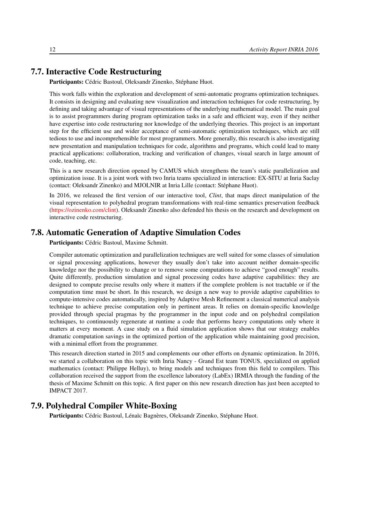## 7.7. Interactive Code Restructuring

<span id="page-15-0"></span>Participants: Cédric Bastoul, Oleksandr Zinenko, Stéphane Huot.

This work falls within the exploration and development of semi-automatic programs optimization techniques. It consists in designing and evaluating new visualization and interaction techniques for code restructuring, by defining and taking advantage of visual representations of the underlying mathematical model. The main goal is to assist programmers during program optimization tasks in a safe and efficient way, even if they neither have expertise into code restructuring nor knowledge of the underlying theories. This project is an important step for the efficient use and wider acceptance of semi-automatic optimization techniques, which are still tedious to use and incomprehensible for most programmers. More generally, this research is also investigating new presentation and manipulation techniques for code, algorithms and programs, which could lead to many practical applications: collaboration, tracking and verification of changes, visual search in large amount of code, teaching, etc.

This is a new research direction opened by CAMUS which strengthens the team's static parallelization and optimization issue. It is a joint work with two Inria teams specialized in interaction: EX-SITU at Inria Saclay (contact: Oleksandr Zinenko) and MJOLNIR at Inria Lille (contact: Stéphane Huot).

In 2016, we released the first version of our interactive tool, *Clint*, that maps direct manipulation of the visual representation to polyhedral program transformations with real-time semantics preservation feedback [\(https://ozinenko.com/clint\)](https://ozinenko.com/clint). Oleksandr Zinenko also defended his thesis on the research and development on interactive code restructuring.

## 7.8. Automatic Generation of Adaptive Simulation Codes

<span id="page-15-1"></span>Participants: Cédric Bastoul, Maxime Schmitt.

Compiler automatic optimization and parallelization techniques are well suited for some classes of simulation or signal processing applications, however they usually don't take into account neither domain-specific knowledge nor the possibility to change or to remove some computations to achieve "good enough" results. Quite differently, production simulation and signal processing codes have adaptive capabilities: they are designed to compute precise results only where it matters if the complete problem is not tractable or if the computation time must be short. In this research, we design a new way to provide adaptive capabilities to compute-intensive codes automatically, inspired by Adaptive Mesh Refinement a classical numerical analysis technique to achieve precise computation only in pertinent areas. It relies on domain-specific knowledge provided through special pragmas by the programmer in the input code and on polyhedral compilation techniques, to continuously regenerate at runtime a code that performs heavy computations only where it matters at every moment. A case study on a fluid simulation application shows that our strategy enables dramatic computation savings in the optimized portion of the application while maintaining good precision, with a minimal effort from the programmer.

This research direction started in 2015 and complements our other efforts on dynamic optimization. In 2016, we started a collaboration on this topic with Inria Nancy - Grand Est team TONUS, specialized on applied mathematics (contact: Philippe Helluy), to bring models and techniques from this field to compilers. This collaboration received the support from the excellence laboratory (LabEx) IRMIA through the funding of the thesis of Maxime Schmitt on this topic. A first paper on this new research direction has just been accepted to IMPACT 2017.

## 7.9. Polyhedral Compiler White-Boxing

<span id="page-15-2"></span>Participants: Cédric Bastoul, Lénaïc Bagnères, Oleksandr Zinenko, Stéphane Huot.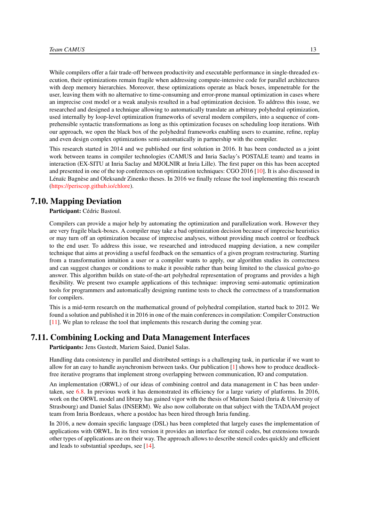While compilers offer a fair trade-off between productivity and executable performance in single-threaded execution, their optimizations remain fragile when addressing compute-intensive code for parallel architectures with deep memory hierarchies. Moreover, these optimizations operate as black boxes, impenetrable for the user, leaving them with no alternative to time-consuming and error-prone manual optimization in cases where an imprecise cost model or a weak analysis resulted in a bad optimization decision. To address this issue, we researched and designed a technique allowing to automatically translate an arbitrary polyhedral optimization, used internally by loop-level optimization frameworks of several modern compilers, into a sequence of comprehensible syntactic transformations as long as this optimization focuses on scheduling loop iterations. With our approach, we open the black box of the polyhedral frameworks enabling users to examine, refine, replay and even design complex optimizations semi-automatically in partnership with the compiler.

This research started in 2014 and we published our first solution in 2016. It has been conducted as a joint work between teams in compiler technologies (CAMUS and Inria Saclay's POSTALE team) and teams in interaction (EX-SITU at Inria Saclay and MJOLNIR at Inria Lille). The first paper on this has been accepted and presented in one of the top conferences on optimization techniques: CGO 2016 [\[10\]](#page-22-1). It is also discussed in Lénaïc Bagnèse and Oleksandr Zinenko theses. In 2016 we finally release the tool implementing this research [\(https://periscop.github.io/chlore\)](https://periscop.github.io/chlore).

## 7.10. Mapping Deviation

#### <span id="page-16-0"></span>Participant: Cédric Bastoul.

Compilers can provide a major help by automating the optimization and parallelization work. However they are very fragile black-boxes. A compiler may take a bad optimization decision because of imprecise heuristics or may turn off an optimization because of imprecise analyses, without providing much control or feedback to the end user. To address this issue, we researched and introduced mapping deviation, a new compiler technique that aims at providing a useful feedback on the semantics of a given program restructuring. Starting from a transformation intuition a user or a compiler wants to apply, our algorithm studies its correctness and can suggest changes or conditions to make it possible rather than being limited to the classical go/no-go answer. This algorithm builds on state-of-the-art polyhedral representation of programs and provides a high flexibility. We present two example applications of this technique: improving semi-automatic optimization tools for programmers and automatically designing runtime tests to check the correctness of a transformation for compilers.

This is a mid-term research on the mathematical ground of polyhedral compilation, started back to 2012. We found a solution and published it in 2016 in one of the main conferences in compilation: Compiler Construction [\[11\]](#page-22-2). We plan to release the tool that implements this research during the coming year.

#### 7.11. Combining Locking and Data Management Interfaces

<span id="page-16-1"></span>Participants: Jens Gustedt, Mariem Saied, Daniel Salas.

Handling data consistency in parallel and distributed settings is a challenging task, in particular if we want to allow for an easy to handle asynchronism between tasks. Our publication [\[1\]](#page-21-3) shows how to produce deadlockfree iterative programs that implement strong overlapping between communication, IO and computation.

An implementation (ORWL) of our ideas of combining control and data management in C has been undertaken, see [6.8.](#page-10-2) In previous work it has demonstrated its efficiency for a large variety of platforms. In 2016, work on the ORWL model and library has gained vigor with the thesis of Mariem Saied (Inria & University of Strasbourg) and Daniel Salas (INSERM). We also now collaborate on that subject with the TADAAM project team from Inria Bordeaux, where a postdoc has been hired through Inria funding.

In 2016, a new domain specific language (DSL) has been completed that largely eases the implementation of applications with ORWL. In its first version it provides an interface for stencil codes, but extensions towards other types of applications are on their way. The approach allows to describe stencil codes quickly and efficient and leads to substantial speedups, see [\[14\]](#page-23-2).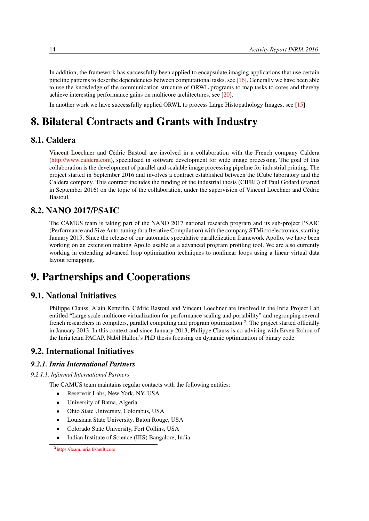In addition, the framework has successfully been applied to encapsulate imaging applications that use certain pipeline patterns to describe dependencies between computational tasks, see [\[16\]](#page-23-3). Generally we have been able to use the knowledge of the communication structure of ORWL programs to map tasks to cores and thereby achieve interesting performance gains on multicore architectures, see [\[20\]](#page-23-4).

<span id="page-17-0"></span>In another work we have successfully applied ORWL to process Large Histopathology Images, see [\[15\]](#page-23-5).

# 8. Bilateral Contracts and Grants with Industry

## 8.1. Caldera

<span id="page-17-1"></span>Vincent Loechner and Cédric Bastoul are involved in a collaboration with the French company Caldera [\(http://www.caldera.com\)](http://www.caldera.com), specialized in software development for wide image processing. The goal of this collaboration is the development of parallel and scalable image processing pipeline for industrial printing. The project started in September 2016 and involves a contract established between the ICube laboratory and the Caldera company. This contract includes the funding of the industrial thesis (CIFRE) of Paul Godard (started in September 2016) on the topic of the collaboration, under the supervision of Vincent Loechner and Cédric Bastoul.

## 8.2. NANO 2017/PSAIC

<span id="page-17-2"></span>The CAMUS team is taking part of the NANO 2017 national research program and its sub-project PSAIC (Performance and Size Auto-tuning thru Iterative Compilation) with the company STMicroelectronics, starting January 2015. Since the release of our automatic speculative parallelization framework Apollo, we have been working on an extension making Apollo usable as a advanced program profiling tool. We are also currently working in extending advanced loop optimization techniques to nonlinear loops using a linear virtual data layout remapping.

# <span id="page-17-3"></span>9. Partnerships and Cooperations

## 9.1. National Initiatives

<span id="page-17-4"></span>Philippe Clauss, Alain Ketterlin, Cédric Bastoul and Vincent Loechner are involved in the Inria Project Lab entitled "Large scale multicore virtualization for performance scaling and portability" and regrouping several french researchers in compilers, parallel computing and program optimization <sup>2</sup>. The project started officially in January 2013. In this context and since January 2013, Philippe Clauss is co-advising with Erven Rohou of the Inria team PACAP, Nabil Hallou's PhD thesis focusing on dynamic optimization of binary code.

## <span id="page-17-5"></span>9.2. International Initiatives

## *9.2.1. Inria International Partners*

#### *9.2.1.1. Informal International Partners*

The CAMUS team maintains regular contacts with the following entities:

- Reservoir Labs, New York, NY, USA
- University of Batna, Algeria
- Ohio State University, Colombus, USA
- Louisiana State University, Baton Rouge, USA
- Colorado State University, Fort Collins, USA
- Indian Institute of Science (IIIS) Bangalore, India

<sup>2</sup> <https://team.inria.fr/multicore>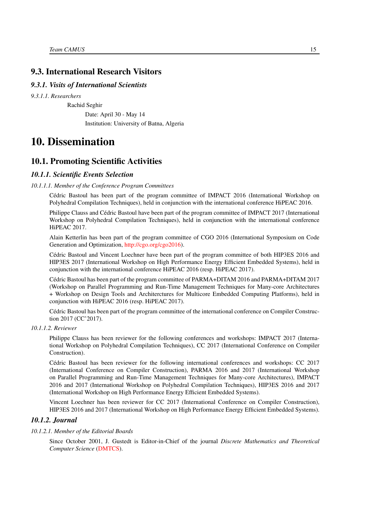## <span id="page-18-0"></span>9.3. International Research Visitors

#### *9.3.1. Visits of International Scientists*

*9.3.1.1. Researchers*

Rachid Seghir

Date: April 30 - May 14 Institution: University of Batna, Algeria

## <span id="page-18-1"></span>10. Dissemination

## <span id="page-18-2"></span>10.1. Promoting Scientific Activities

#### <span id="page-18-3"></span>*10.1.1. Scientific Events Selection*

#### *10.1.1.1. Member of the Conference Program Committees*

<span id="page-18-4"></span>Cédric Bastoul has been part of the program committee of IMPACT 2016 (International Workshop on Polyhedral Compilation Techniques), held in conjunction with the international conference HiPEAC 2016.

Philippe Clauss and Cédric Bastoul have been part of the program committee of IMPACT 2017 (International Workshop on Polyhedral Compilation Techniques), held in conjunction with the international conference HiPEAC 2017.

Alain Ketterlin has been part of the program committee of CGO 2016 (International Symposium on Code Generation and Optimization, [http://cgo.org/cgo2016\)](http://cgo.org/cgo2016).

Cédric Bastoul and Vincent Loechner have been part of the program committee of both HIP3ES 2016 and HIP3ES 2017 (International Workshop on High Performance Energy Efficient Embedded Systems), held in conjunction with the international conference HiPEAC 2016 (resp. HiPEAC 2017).

Cédric Bastoul has been part of the program committee of PARMA+DITAM 2016 and PARMA+DITAM 2017 (Workshop on Parallel Programming and Run-Time Management Techniques for Many-core Architectures + Workshop on Design Tools and Architerctures for Multicore Embedded Computing Platforms), held in conjunction with HiPEAC 2016 (resp. HiPEAC 2017).

Cédric Bastoul has been part of the program committee of the international conference on Compiler Construction 2017 (CC'2017).

#### *10.1.1.2. Reviewer*

<span id="page-18-5"></span>Philippe Clauss has been reviewer for the following conferences and workshops: IMPACT 2017 (International Workshop on Polyhedral Compilation Techniques), CC 2017 (International Conference on Compiler Construction).

Cédric Bastoul has been reviewer for the following international conferences and workshops: CC 2017 (International Conference on Compiler Construction), PARMA 2016 and 2017 (International Workshop on Parallel Programming and Run-Time Management Techniques for Many-core Architectures), IMPACT 2016 and 2017 (International Workshop on Polyhedral Compilation Techniques), HIP3ES 2016 and 2017 (International Workshop on High Performance Energy Efficient Embedded Systems).

<span id="page-18-6"></span>Vincent Loechner has been reviewer for CC 2017 (International Conference on Compiler Construction), HIP3ES 2016 and 2017 (International Workshop on High Performance Energy Efficient Embedded Systems).

#### *10.1.2. Journal*

#### *10.1.2.1. Member of the Editorial Boards*

<span id="page-18-7"></span>Since October 2001, J. Gustedt is Editor-in-Chief of the journal *Discrete Mathematics and Theoretical Computer Science* [\(DMTCS\)](http://www.dmtcs.org/).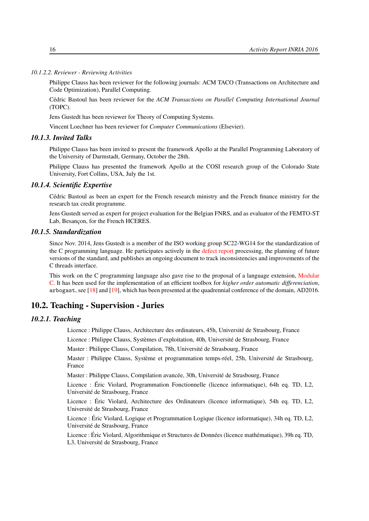*10.1.2.2. Reviewer - Reviewing Activities*

<span id="page-19-0"></span>Philippe Clauss has been reviewer for the following journals: ACM TACO (Transactions on Architecture and Code Optimization), Parallel Computing.

Cédric Bastoul has been reviewer for the *ACM Transactions on Parallel Computing International Journal* (TOPC).

Jens Gustedt has been reviewer for Theory of Computing Systems.

<span id="page-19-1"></span>Vincent Loechner has been reviewer for *Computer Communications* (Elsevier).

#### *10.1.3. Invited Talks*

Philippe Clauss has been invited to present the framework Apollo at the Parallel Programming Laboratory of the University of Darmstadt, Germany, October the 28th.

Philippe Clauss has presented the framework Apollo at the COSI research group of the Colorado State University, Fort Collins, USA, July the 1st.

#### *10.1.4. Scientific Expertise*

<span id="page-19-2"></span>Cédric Bastoul as been an expert for the French research ministry and the French finance ministry for the research tax credit programme.

Jens Gustedt served as expert for project evaluation for the Belgian FNRS, and as evaluator of the FEMTO-ST Lab, Besançon, for the French HCERES.

#### *10.1.5. Standardization*

<span id="page-19-3"></span>Since Nov. 2014, Jens Gustedt is a member of the ISO working group SC22-WG14 for the standardization of the C programming language. He participates actively in the [defect report](http://www.open-std.org/jtc1/sc22/wg14/www/docs/summary.htm) processing, the planning of future versions of the standard, and publishes an ongoing document to track inconsistencies and improvements of the C threads interface.

This work on the C programming language also gave rise to the proposal of a language extension, [Modular](http://cmod.gforge.inria.fr/) [C.](http://cmod.gforge.inria.fr/) It has been used for the implementation of an efficient toolbox for *higher order automatic differenciation*, arbogast, see [\[18\]](#page-23-6) and [\[19\]](#page-23-7), which has been presented at the quadrennial conference of the domain, AD2016.

#### <span id="page-19-4"></span>10.2. Teaching - Supervision - Juries

## <span id="page-19-5"></span>*10.2.1. Teaching*

Licence : Philippe Clauss, Architecture des ordinateurs, 45h, Université de Strasbourg, France

Licence : Philippe Clauss, Systèmes d'exploitation, 40h, Université de Strasbourg, France

Master : Philippe Clauss, Compilation, 78h, Université de Strasbourg, France

Master : Philippe Clauss, Système et programmation temps-réel, 25h, Université de Strasbourg, France

Master : Philippe Clauss, Compilation avancée, 30h, Université de Strasbourg, France

Licence : Éric Violard, Programmation Fonctionnelle (licence informatique), 64h eq. TD, L2, Université de Strasbourg, France

Licence : Éric Violard, Architecture des Ordinateurs (licence informatique), 54h eq. TD, L2, Université de Strasbourg, France

Licence : Éric Violard, Logique et Programmation Logique (licence informatique), 34h eq. TD, L2, Université de Strasbourg, France

Licence : Éric Violard, Algorithmique et Structures de Données (licence mathématique), 39h eq. TD, L3, Université de Strasbourg, France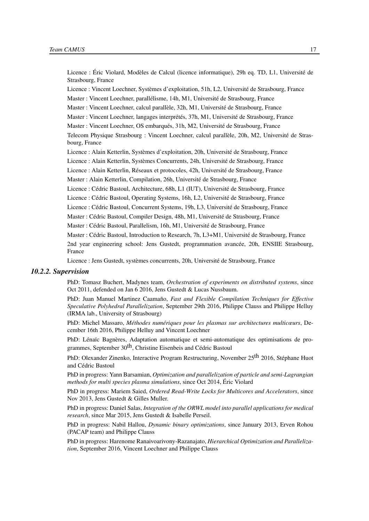Licence : Éric Violard, Modèles de Calcul (licence informatique), 29h eq. TD, L1, Université de Strasbourg, France

Licence : Vincent Loechner, Systèmes d'exploitation, 51h, L2, Université de Strasbourg, France

Master : Vincent Loechner, parallélisme, 14h, M1, Université de Strasbourg, France

Master : Vincent Loechner, calcul parallèle, 32h, M1, Université de Strasbourg, France

Master : Vincent Loechner, langages interprétés, 37h, M1, Université de Strasbourg, France

Master : Vincent Loechner, OS embarqués, 31h, M2, Université de Strasbourg, France

Telecom Physique Strasbourg : Vincent Loechner, calcul parallèle, 20h, M2, Université de Strasbourg, France

Licence : Alain Ketterlin, Systèmes d'exploitation, 20h, Université de Strasbourg, France

Licence : Alain Ketterlin, Systèmes Concurrents, 24h, Université de Strasbourg, France

Licence : Alain Ketterlin, Réseaux et protocoles, 42h, Université de Strasbourg, France

Master : Alain Ketterlin, Compilation, 26h, Université de Strasbourg, France

Licence : Cédric Bastoul, Architecture, 68h, L1 (IUT), Université de Strasbourg, France

Licence : Cédric Bastoul, Operating Systems, 16h, L2, Université de Strasbourg, France

Licence : Cédric Bastoul, Concurrent Systems, 19h, L3, Université de Strasbourg, France

Master : Cédric Bastoul, Compiler Design, 48h, M1, Université de Strasbourg, France

Master : Cédric Bastoul, Parallelism, 16h, M1, Université de Strasbourg, France

Master : Cédric Bastoul, Introduction to Research, 7h, L3+M1, Université de Strasbourg, France

2nd year engineering school: Jens Gustedt, programmation avancée, 20h, ENSIIE Strasbourg, France

<span id="page-20-0"></span>Licence : Jens Gustedt, systèmes concurrents, 20h, Université de Strasbourg, France

#### *10.2.2. Supervision*

PhD: Tomasz Buchert, Madynes team, *Orchestration of experiments on distributed systems*, since Oct 2011, defended on Jan 6 2016, Jens Gustedt & Lucas Nussbaum.

PhD: Juan Manuel Martinez Caamaño, *Fast and Flexible Compilation Techniques for Effective Speculative Polyhedral Parallelization*, September 29th 2016, Philippe Clauss and Philippe Helluy (IRMA lab., University of Strasbourg)

PhD: Michel Massaro, *Méthodes numériques pour les plasmas sur architectures multicœurs*, December 16th 2016, Philippe Helluy and Vincent Loechner

PhD: Lénaïc Bagnères, Adaptation automatique et semi-automatique des optimisations de programmes, September 30<sup>th</sup>, Christine Eisenbeis and Cédric Bastoul

PhD: Olexander Zinenko, Interactive Program Restructuring, November 25<sup>th</sup> 2016, Stéphane Huot and Cédric Bastoul

PhD in progress: Yann Barsamian, *Optimization and parallelization of particle and semi-Lagrangian methods for multi species plasma simulations*, since Oct 2014, Éric Violard

PhD in progress: Mariem Saied, *Ordered Read-Write Locks for Multicores and Accelerators*, since Nov 2013, Jens Gustedt & Gilles Muller.

PhD in progress: Daniel Salas, *Integration of the ORWL model into parallel applications for medical research*, since Mar 2015, Jens Gustedt & Isabelle Perseil.

PhD in progress: Nabil Hallou, *Dynamic binary optimizations*, since January 2013, Erven Rohou (PACAP team) and Philippe Clauss

PhD in progress: Harenome Ranaivoarivony-Razanajato, *Hierarchical Optimization and Parallelization*, September 2016, Vincent Loechner and Philippe Clauss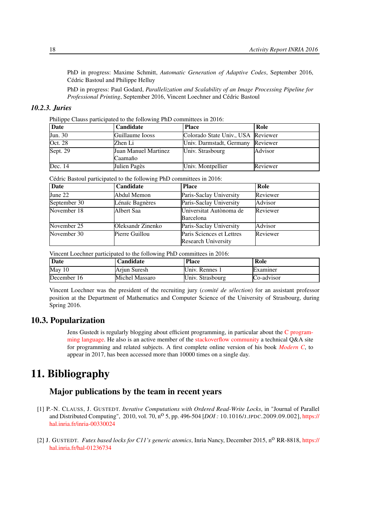PhD in progress: Maxime Schmitt, *Automatic Generation of Adaptive Codes*, September 2016, Cédric Bastoul and Philippe Helluy

PhD in progress: Paul Godard, *Parallelization and Scalability of an Image Processing Pipeline for Professional Printing*, September 2016, Vincent Loechner and Cédric Bastoul

#### *10.2.3. Juries*

<span id="page-21-0"></span>Philippe Clauss participated to the following PhD committees in 2016:

| Date     | <b>Candidate</b>            | <b>Place</b>                       | Role     |
|----------|-----------------------------|------------------------------------|----------|
| Jun. 30  | Guillaume Iooss             | Colorado State Univ., USA Reviewer |          |
| Oct. 28  | Zhen Li                     | Univ. Darmstadt, Germany           | Reviewer |
| Sept. 29 | <b>Juan Manuel Martinez</b> | Univ. Strasbourg                   | Advisor  |
|          | Caamaño                     |                                    |          |
| Dec. 14  | Julien Pagès                | Univ. Montpellier                  | Reviewer |

Cédric Bastoul participated to the following PhD committees in 2016:

| <b>Date</b>  | Candidate         | <b>Place</b>               | Role     |
|--------------|-------------------|----------------------------|----------|
| June $22$    | Abdul Memon       | Paris-Saclay University    | Reviewer |
| September 30 | Lénaïc Bagnères   | Paris-Saclay University    | Advisor  |
| November 18  | Albert Saa        | Universitat Autònoma de    | Reviewer |
|              |                   | Barcelona                  |          |
| November 25  | Oleksandr Zinenko | Paris-Saclay University    | Advisor  |
| November 30  | Pierre Guillou    | Paris Sciences et Lettres  | Reviewer |
|              |                   | <b>Research University</b> |          |

Vincent Loechner participated to the following PhD committees in 2016:

| Date             | Candidate      | <b>Place</b>     | Role            |
|------------------|----------------|------------------|-----------------|
| $\text{May } 10$ | Arjun Suresh   | Univ. Rennes 1   | <b>Examiner</b> |
| December 16      | Michel Massaro | Univ. Strasbourg | Co-advisor      |

Vincent Loechner was the president of the recruiting jury (*comité de sélection*) for an assistant professor position at the Department of Mathematics and Computer Science of the University of Strasbourg, during Spring 2016.

#### <span id="page-21-1"></span>10.3. Popularization

Jens Gustedt is regularly blogging about efficient programming, in particular about the [C program](http://gustedt.wordpress.com/)[ming language.](http://gustedt.wordpress.com/) He also is an active member of the [stackoverflow community](http://stackoverflow.com/questions/tagged/c) a technical Q&A site for programming and related subjects. A first complete online version of his book *[Modern C](http://icube-icps.unistra.fr/index.php/File:ModernC.pdf)*, to appear in 2017, has been accessed more than 10000 times on a single day.

# <span id="page-21-2"></span>11. Bibliography

## Major publications by the team in recent years

- <span id="page-21-3"></span>[1] P.-N. CLAUSS, J. GUSTEDT. *Iterative Computations with Ordered Read-Write Locks*, in "Journal of Parallel and Distributed Computing", 2010, vol. 70, n<sup>o</sup> 5, pp. 496-504 [*DOI*: 10.1016/J.JPDC.2009.09.002], [https://](https://hal.inria.fr/inria-00330024) [hal.inria.fr/inria-00330024](https://hal.inria.fr/inria-00330024)
- <span id="page-21-4"></span>[2] J. GUSTEDT. *Futex based locks for C11's generic atomics*, Inria Nancy, December 2015, n<sup>o</sup> RR-8818, [https://](https://hal.inria.fr/hal-01236734) [hal.inria.fr/hal-01236734](https://hal.inria.fr/hal-01236734)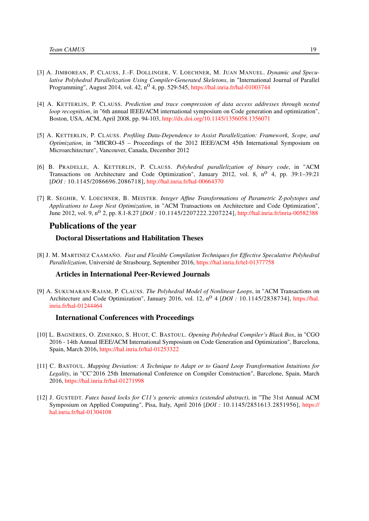- [3] A. JIMBOREAN, P. CLAUSS, J.-F. DOLLINGER, V. LOECHNER, M. JUAN MANUEL. *Dynamic and Speculative Polyhedral Parallelization Using Compiler-Generated Skeletons*, in "International Journal of Parallel Programming", August 2014, vol. 42, n<sup>o</sup> 4, pp. 529-545, <https://hal.inria.fr/hal-01003744>
- [4] A. KETTERLIN, P. CLAUSS. *Prediction and trace compression of data access addresses through nested loop recognition*, in "6th annual IEEE/ACM international symposium on Code generation and optimization", Boston, USA, ACM, April 2008, pp. 94-103, <http://dx.doi.org/10.1145/1356058.1356071>
- [5] A. KETTERLIN, P. CLAUSS. *Profiling Data-Dependence to Assist Parallelization: Framework, Scope, and Optimization*, in "MICRO-45 – Proceedings of the 2012 IEEE/ACM 45th International Symposium on Microarchitecture", Vancouver, Canada, December 2012
- [6] B. PRADELLE, A. KETTERLIN, P. CLAUSS. *Polyhedral parallelization of binary code*, in "ACM Transactions on Architecture and Code Optimization", January 2012, vol. 8, n<sup>0</sup> 4, pp. 39:1-39:21 [*DOI :* 10.1145/2086696.2086718], <http://hal.inria.fr/hal-00664370>
- [7] R. SEGHIR, V. LOECHNER, B. MEISTER. *Integer Affine Transformations of Parametric Z-polytopes and Applications to Loop Nest Optimization*, in "ACM Transactions on Architecture and Code Optimization", June 2012, vol. 9, n<sup>o</sup> 2, pp. 8.1-8.27 [*DOI*: 10.1145/2207222.2207224], <http://hal.inria.fr/inria-00582388>

#### Publications of the year

#### Doctoral Dissertations and Habilitation Theses

<span id="page-22-0"></span>[8] J. M. MARTINEZ CAAMAÑO. *Fast and Flexible Compilation Techniques for Effective Speculative Polyhedral Parallelization*, Université de Strasbourg, September 2016, <https://hal.inria.fr/tel-01377758>

#### Articles in International Peer-Reviewed Journals

[9] A. SUKUMARAN-RAJAM, P. CLAUSS. *The Polyhedral Model of Nonlinear Loops*, in "ACM Transactions on Architecture and Code Optimization", January 2016, vol. 12, n<sup>o</sup> 4 [*DOI* : 10.1145/2838734], [https://hal.](https://hal.inria.fr/hal-01244464) [inria.fr/hal-01244464](https://hal.inria.fr/hal-01244464)

#### International Conferences with Proceedings

- <span id="page-22-1"></span>[10] L. BAGNÈRES, O. ZINENKO, S. HUOT, C. BASTOUL. *Opening Polyhedral Compiler's Black Box*, in "CGO 2016 - 14th Annual IEEE/ACM International Symposium on Code Generation and Optimization", Barcelona, Spain, March 2016, <https://hal.inria.fr/hal-01253322>
- <span id="page-22-2"></span>[11] C. BASTOUL. *Mapping Deviation: A Technique to Adapt or to Guard Loop Transformation Intuitions for Legality*, in "CC'2016 25th International Conference on Compiler Construction", Barcelone, Spain, March 2016, <https://hal.inria.fr/hal-01271998>
- [12] J. GUSTEDT. *Futex based locks for C11's generic atomics (extended abstract)*, in "The 31st Annual ACM Symposium on Applied Computing", Pisa, Italy, April 2016 [*DOI :* 10.1145/2851613.2851956], [https://](https://hal.inria.fr/hal-01304108) [hal.inria.fr/hal-01304108](https://hal.inria.fr/hal-01304108)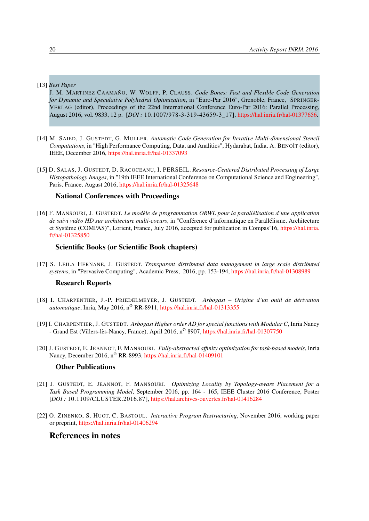#### [13] *Best Paper*

<span id="page-23-1"></span>J. M. MARTINEZ CAAMAÑO, W. WOLFF, P. CLAUSS. *Code Bones: Fast and Flexible Code Generation for Dynamic and Speculative Polyhedral Optimization*, in "Euro-Par 2016", Grenoble, France, SPRINGER-VERLAG (editor), Proceedings of the 22nd International Conference Euro-Par 2016: Parallel Processing, August 2016, vol. 9833, 12 p. [*DOI :* 10.1007/978-3-319-43659-3\_17], [https://hal.inria.fr/hal-01377656.](https://hal.inria.fr/hal-01377656)

- <span id="page-23-2"></span>[14] M. SAIED, J. GUSTEDT, G. MULLER. *Automatic Code Generation for Iterative Multi-dimensional Stencil Computations*, in "High Performance Computing, Data, and Analitics", Hydarabat, India, A. BENOÎT (editor), IEEE, December 2016, <https://hal.inria.fr/hal-01337093>
- <span id="page-23-5"></span>[15] D. SALAS, J. GUSTEDT, D. RACOCEANU, I. PERSEIL. *Resource-Centered Distributed Processing of Large Histopathology Images*, in "19th IEEE International Conference on Computational Science and Engineering", Paris, France, August 2016, <https://hal.inria.fr/hal-01325648>

#### National Conferences with Proceedings

<span id="page-23-3"></span>[16] F. MANSOURI, J. GUSTEDT. *Le modèle de programmation ORWL pour la parallélisation d'une application de suivi vidéo HD sur architecture multi-coeurs*, in "Conférence d'informatique en Parallélisme, Architecture et Système (COMPAS)", Lorient, France, July 2016, accepted for publication in Compas'16, [https://hal.inria.](https://hal.inria.fr/hal-01325850) [fr/hal-01325850](https://hal.inria.fr/hal-01325850)

#### Scientific Books (or Scientific Book chapters)

[17] S. LEILA HERNANE, J. GUSTEDT. *Transparent distributed data management in large scale distributed systems*, in "Pervasive Computing", Academic Press, 2016, pp. 153-194, <https://hal.inria.fr/hal-01308989>

#### Research Reports

- <span id="page-23-6"></span>[18] I. CHARPENTIER, J.-P. FRIEDELMEYER, J. GUSTEDT. *Arbogast – Origine d'un outil de dérivation automatique*, Inria, May 2016, n<sup>o</sup> RR-8911, <https://hal.inria.fr/hal-01313355>
- <span id="page-23-7"></span>[19] I. CHARPENTIER, J. GUSTEDT. *Arbogast Higher order AD for special functions with Modular C*, Inria Nancy - Grand Est (Villers-lès-Nancy, France), April 2016, n<sup>o</sup> 8907, <https://hal.inria.fr/hal-01307750>
- <span id="page-23-4"></span>[20] J. GUSTEDT, E. JEANNOT, F. MANSOURI. *Fully-abstracted affinity optimization for task-based models*, Inria Nancy, December 2016, n<sup>o</sup> RR-8993, <https://hal.inria.fr/hal-01409101>

#### Other Publications

- [21] J. GUSTEDT, E. JEANNOT, F. MANSOURI. *Optimizing Locality by Topology-aware Placement for a Task Based Programming Model*, September 2016, pp. 164 - 165, IEEE Cluster 2016 Conference, Poster [*DOI :* 10.1109/CLUSTER.2016.87], <https://hal.archives-ouvertes.fr/hal-01416284>
- [22] O. ZINENKO, S. HUOT, C. BASTOUL. *Interactive Program Restructuring*, November 2016, working paper or preprint, <https://hal.inria.fr/hal-01406294>

#### <span id="page-23-0"></span>References in notes